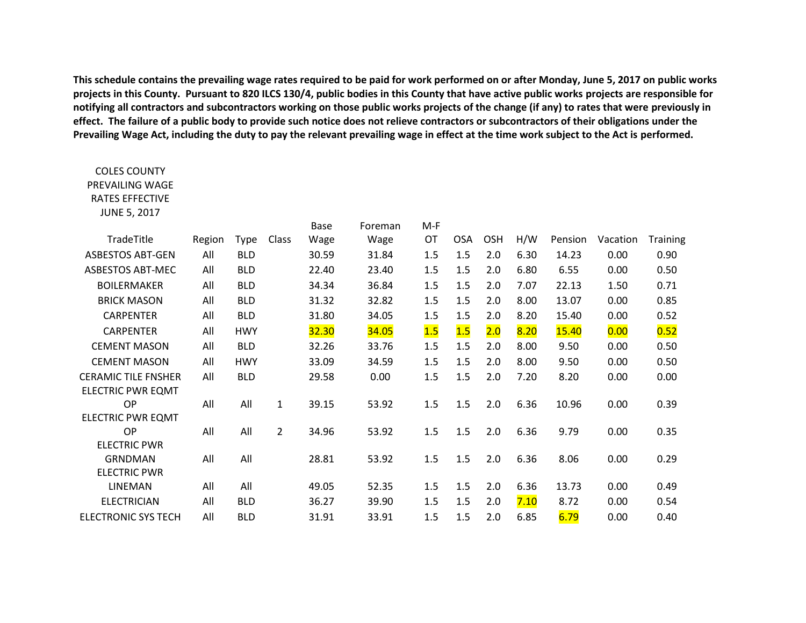**This schedule contains the prevailing wage rates required to be paid for work performed on or after Monday, June 5, 2017 on public works projects in this County. Pursuant to 820 ILCS 130/4, public bodies in this County that have active public works projects are responsible for notifying all contractors and subcontractors working on those public works projects of the change (if any) to rates that were previously in effect. The failure of a public body to provide such notice does not relieve contractors or subcontractors of their obligations under the Prevailing Wage Act, including the duty to pay the relevant prevailing wage in effect at the time work subject to the Act is performed.**

COLES COUNTY PREVAILING WAGE

| <b>RATES EFFECTIVE</b>     |        |             |                |       |         |       |            |            |      |         |          |          |
|----------------------------|--------|-------------|----------------|-------|---------|-------|------------|------------|------|---------|----------|----------|
| <b>JUNE 5, 2017</b>        |        |             |                |       |         |       |            |            |      |         |          |          |
|                            |        |             |                | Base  | Foreman | $M-F$ |            |            |      |         |          |          |
| TradeTitle                 | Region | <b>Type</b> | Class          | Wage  | Wage    | OT    | <b>OSA</b> | <b>OSH</b> | H/W  | Pension | Vacation | Training |
| <b>ASBESTOS ABT-GEN</b>    | All    | <b>BLD</b>  |                | 30.59 | 31.84   | 1.5   | 1.5        | 2.0        | 6.30 | 14.23   | 0.00     | 0.90     |
| <b>ASBESTOS ABT-MEC</b>    | All    | <b>BLD</b>  |                | 22.40 | 23.40   | 1.5   | 1.5        | 2.0        | 6.80 | 6.55    | 0.00     | 0.50     |
| <b>BOILERMAKER</b>         | All    | <b>BLD</b>  |                | 34.34 | 36.84   | 1.5   | 1.5        | 2.0        | 7.07 | 22.13   | 1.50     | 0.71     |
| <b>BRICK MASON</b>         | All    | <b>BLD</b>  |                | 31.32 | 32.82   | 1.5   | 1.5        | 2.0        | 8.00 | 13.07   | 0.00     | 0.85     |
| <b>CARPENTER</b>           | All    | <b>BLD</b>  |                | 31.80 | 34.05   | 1.5   | 1.5        | 2.0        | 8.20 | 15.40   | 0.00     | 0.52     |
| <b>CARPENTER</b>           | All    | <b>HWY</b>  |                | 32.30 | 34.05   | 1.5   | 1.5        | 2.0        | 8.20 | 15.40   | 0.00     | 0.52     |
| <b>CEMENT MASON</b>        | All    | <b>BLD</b>  |                | 32.26 | 33.76   | 1.5   | 1.5        | 2.0        | 8.00 | 9.50    | 0.00     | 0.50     |
| <b>CEMENT MASON</b>        | All    | <b>HWY</b>  |                | 33.09 | 34.59   | 1.5   | 1.5        | 2.0        | 8.00 | 9.50    | 0.00     | 0.50     |
| <b>CERAMIC TILE FNSHER</b> | All    | <b>BLD</b>  |                | 29.58 | 0.00    | 1.5   | 1.5        | 2.0        | 7.20 | 8.20    | 0.00     | 0.00     |
| <b>ELECTRIC PWR EQMT</b>   |        |             |                |       |         |       |            |            |      |         |          |          |
| OP                         | All    | All         | $\mathbf{1}$   | 39.15 | 53.92   | 1.5   | 1.5        | 2.0        | 6.36 | 10.96   | 0.00     | 0.39     |
| <b>ELECTRIC PWR EQMT</b>   |        |             |                |       |         |       |            |            |      |         |          |          |
| OP                         | All    | All         | $\overline{2}$ | 34.96 | 53.92   | 1.5   | 1.5        | 2.0        | 6.36 | 9.79    | 0.00     | 0.35     |
| <b>ELECTRIC PWR</b>        |        |             |                |       |         |       |            |            |      |         |          |          |
| <b>GRNDMAN</b>             | All    | All         |                | 28.81 | 53.92   | 1.5   | 1.5        | 2.0        | 6.36 | 8.06    | 0.00     | 0.29     |
| <b>ELECTRIC PWR</b>        |        |             |                |       |         |       |            |            |      |         |          |          |
| LINEMAN                    | All    | All         |                | 49.05 | 52.35   | 1.5   | 1.5        | 2.0        | 6.36 | 13.73   | 0.00     | 0.49     |
| <b>ELECTRICIAN</b>         | All    | <b>BLD</b>  |                | 36.27 | 39.90   | 1.5   | 1.5        | 2.0        | 7.10 | 8.72    | 0.00     | 0.54     |
| <b>ELECTRONIC SYS TECH</b> | All    | <b>BLD</b>  |                | 31.91 | 33.91   | 1.5   | 1.5        | 2.0        | 6.85 | 6.79    | 0.00     | 0.40     |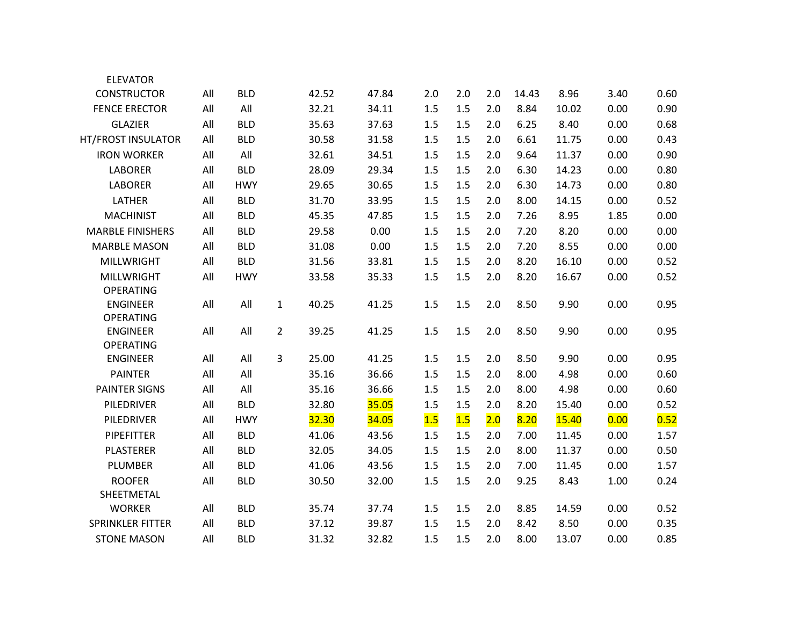| <b>ELEVATOR</b>         |     |            |                |       |       |     |     |     |       |       |      |      |
|-------------------------|-----|------------|----------------|-------|-------|-----|-----|-----|-------|-------|------|------|
| <b>CONSTRUCTOR</b>      | All | <b>BLD</b> |                | 42.52 | 47.84 | 2.0 | 2.0 | 2.0 | 14.43 | 8.96  | 3.40 | 0.60 |
| <b>FENCE ERECTOR</b>    | All | All        |                | 32.21 | 34.11 | 1.5 | 1.5 | 2.0 | 8.84  | 10.02 | 0.00 | 0.90 |
| <b>GLAZIER</b>          | All | <b>BLD</b> |                | 35.63 | 37.63 | 1.5 | 1.5 | 2.0 | 6.25  | 8.40  | 0.00 | 0.68 |
| HT/FROST INSULATOR      | All | <b>BLD</b> |                | 30.58 | 31.58 | 1.5 | 1.5 | 2.0 | 6.61  | 11.75 | 0.00 | 0.43 |
| <b>IRON WORKER</b>      | All | All        |                | 32.61 | 34.51 | 1.5 | 1.5 | 2.0 | 9.64  | 11.37 | 0.00 | 0.90 |
| <b>LABORER</b>          | All | <b>BLD</b> |                | 28.09 | 29.34 | 1.5 | 1.5 | 2.0 | 6.30  | 14.23 | 0.00 | 0.80 |
| <b>LABORER</b>          | All | <b>HWY</b> |                | 29.65 | 30.65 | 1.5 | 1.5 | 2.0 | 6.30  | 14.73 | 0.00 | 0.80 |
| LATHER                  | All | <b>BLD</b> |                | 31.70 | 33.95 | 1.5 | 1.5 | 2.0 | 8.00  | 14.15 | 0.00 | 0.52 |
| <b>MACHINIST</b>        | All | <b>BLD</b> |                | 45.35 | 47.85 | 1.5 | 1.5 | 2.0 | 7.26  | 8.95  | 1.85 | 0.00 |
| <b>MARBLE FINISHERS</b> | All | <b>BLD</b> |                | 29.58 | 0.00  | 1.5 | 1.5 | 2.0 | 7.20  | 8.20  | 0.00 | 0.00 |
| <b>MARBLE MASON</b>     | All | <b>BLD</b> |                | 31.08 | 0.00  | 1.5 | 1.5 | 2.0 | 7.20  | 8.55  | 0.00 | 0.00 |
| <b>MILLWRIGHT</b>       | All | <b>BLD</b> |                | 31.56 | 33.81 | 1.5 | 1.5 | 2.0 | 8.20  | 16.10 | 0.00 | 0.52 |
| <b>MILLWRIGHT</b>       | All | <b>HWY</b> |                | 33.58 | 35.33 | 1.5 | 1.5 | 2.0 | 8.20  | 16.67 | 0.00 | 0.52 |
| <b>OPERATING</b>        |     |            |                |       |       |     |     |     |       |       |      |      |
| <b>ENGINEER</b>         | All | All        | $\mathbf{1}$   | 40.25 | 41.25 | 1.5 | 1.5 | 2.0 | 8.50  | 9.90  | 0.00 | 0.95 |
| <b>OPERATING</b>        |     |            |                |       |       |     |     |     |       |       |      |      |
| <b>ENGINEER</b>         | All | All        | $\overline{2}$ | 39.25 | 41.25 | 1.5 | 1.5 | 2.0 | 8.50  | 9.90  | 0.00 | 0.95 |
| <b>OPERATING</b>        |     | All        | $\mathbf{3}$   | 25.00 | 41.25 |     | 1.5 |     |       | 9.90  |      | 0.95 |
| <b>ENGINEER</b>         | All |            |                |       |       | 1.5 |     | 2.0 | 8.50  |       | 0.00 |      |
| <b>PAINTER</b>          | All | All        |                | 35.16 | 36.66 | 1.5 | 1.5 | 2.0 | 8.00  | 4.98  | 0.00 | 0.60 |
| <b>PAINTER SIGNS</b>    | All | All        |                | 35.16 | 36.66 | 1.5 | 1.5 | 2.0 | 8.00  | 4.98  | 0.00 | 0.60 |
| PILEDRIVER              | All | <b>BLD</b> |                | 32.80 | 35.05 | 1.5 | 1.5 | 2.0 | 8.20  | 15.40 | 0.00 | 0.52 |
| PILEDRIVER              | All | <b>HWY</b> |                | 32.30 | 34.05 | 1.5 | 1.5 | 2.0 | 8.20  | 15.40 | 0.00 | 0.52 |
| PIPEFITTER              | All | <b>BLD</b> |                | 41.06 | 43.56 | 1.5 | 1.5 | 2.0 | 7.00  | 11.45 | 0.00 | 1.57 |
| <b>PLASTERER</b>        | All | <b>BLD</b> |                | 32.05 | 34.05 | 1.5 | 1.5 | 2.0 | 8.00  | 11.37 | 0.00 | 0.50 |
| PLUMBER                 | All | <b>BLD</b> |                | 41.06 | 43.56 | 1.5 | 1.5 | 2.0 | 7.00  | 11.45 | 0.00 | 1.57 |
| <b>ROOFER</b>           | All | <b>BLD</b> |                | 30.50 | 32.00 | 1.5 | 1.5 | 2.0 | 9.25  | 8.43  | 1.00 | 0.24 |
| SHEETMETAL              |     |            |                |       |       |     |     |     |       |       |      |      |
| <b>WORKER</b>           | All | <b>BLD</b> |                | 35.74 | 37.74 | 1.5 | 1.5 | 2.0 | 8.85  | 14.59 | 0.00 | 0.52 |
| <b>SPRINKLER FITTER</b> | All | <b>BLD</b> |                | 37.12 | 39.87 | 1.5 | 1.5 | 2.0 | 8.42  | 8.50  | 0.00 | 0.35 |
| <b>STONE MASON</b>      | All | <b>BLD</b> |                | 31.32 | 32.82 | 1.5 | 1.5 | 2.0 | 8.00  | 13.07 | 0.00 | 0.85 |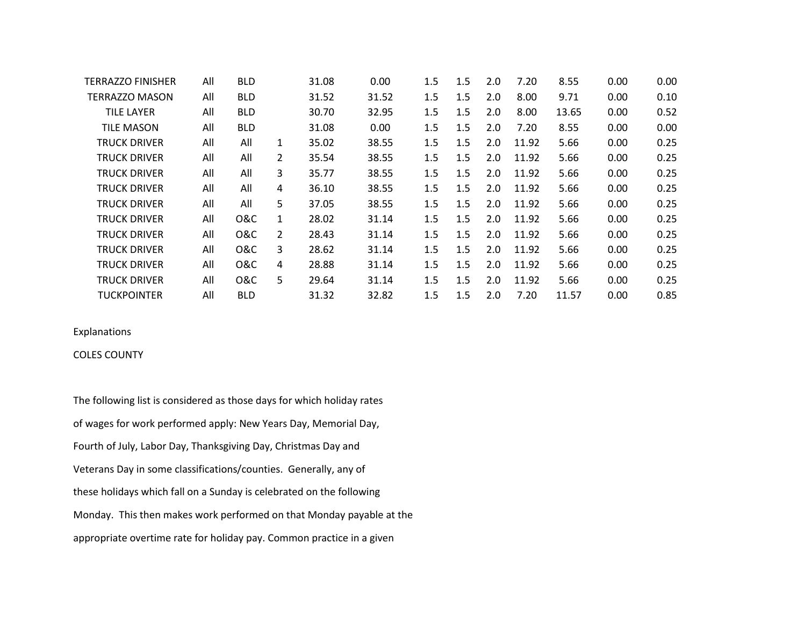| TERRAZZO FINISHER     | All | <b>BLD</b>     |   | 31.08 | 0.00  | 1.5 | 1.5 | 2.0              | 7.20  | 8.55  | 0.00 | 0.00 |
|-----------------------|-----|----------------|---|-------|-------|-----|-----|------------------|-------|-------|------|------|
| <b>TERRAZZO MASON</b> | All | <b>BLD</b>     |   | 31.52 | 31.52 | 1.5 | 1.5 | 2.0              | 8.00  | 9.71  | 0.00 | 0.10 |
| <b>TILE LAYER</b>     | All | <b>BLD</b>     |   | 30.70 | 32.95 | 1.5 | 1.5 | 2.0              | 8.00  | 13.65 | 0.00 | 0.52 |
| <b>TILE MASON</b>     | All | <b>BLD</b>     |   | 31.08 | 0.00  | 1.5 | 1.5 | 2.0              | 7.20  | 8.55  | 0.00 | 0.00 |
| TRUCK DRIVER          | All | All            | 1 | 35.02 | 38.55 | 1.5 | 1.5 | 2.0              | 11.92 | 5.66  | 0.00 | 0.25 |
| TRUCK DRIVER          | All | All            | 2 | 35.54 | 38.55 | 1.5 | 1.5 | 2.0 <sub>2</sub> | 11.92 | 5.66  | 0.00 | 0.25 |
| TRUCK DRIVER          | All | All            | 3 | 35.77 | 38.55 | 1.5 | 1.5 | 2.0 <sub>2</sub> | 11.92 | 5.66  | 0.00 | 0.25 |
| TRUCK DRIVER          | All | All            | 4 | 36.10 | 38.55 | 1.5 | 1.5 | 2.0 <sub>2</sub> | 11.92 | 5.66  | 0.00 | 0.25 |
| TRUCK DRIVER          | All | All            | 5 | 37.05 | 38.55 | 1.5 | 1.5 | $2.0^{\circ}$    | 11.92 | 5.66  | 0.00 | 0.25 |
| TRUCK DRIVER          | All | <b>O&amp;C</b> | 1 | 28.02 | 31.14 | 1.5 | 1.5 | 2.0 <sub>1</sub> | 11.92 | 5.66  | 0.00 | 0.25 |
| TRUCK DRIVER          | All | <b>O&amp;C</b> | 2 | 28.43 | 31.14 | 1.5 | 1.5 | $2.0^{\circ}$    | 11.92 | 5.66  | 0.00 | 0.25 |
| TRUCK DRIVER          | All | <b>O&amp;C</b> | 3 | 28.62 | 31.14 | 1.5 | 1.5 | 2.0 <sub>1</sub> | 11.92 | 5.66  | 0.00 | 0.25 |
| TRUCK DRIVER          | All | <b>O&amp;C</b> | 4 | 28.88 | 31.14 | 1.5 | 1.5 | 2.0              | 11.92 | 5.66  | 0.00 | 0.25 |
| TRUCK DRIVER          | All | <b>O&amp;C</b> | 5 | 29.64 | 31.14 | 1.5 | 1.5 | 2.0              | 11.92 | 5.66  | 0.00 | 0.25 |
| TUCKPOINTER           | All | <b>BLD</b>     |   | 31.32 | 32.82 | 1.5 | 1.5 | 2.0              | 7.20  | 11.57 | 0.00 | 0.85 |

# Explanations

### COLES COUNTY

The following list is considered as those days for which holiday rates of wages for work performed apply: New Years Day, Memorial Day, Fourth of July, Labor Day, Thanksgiving Day, Christmas Day and Veterans Day in some classifications/counties. Generally, any of these holidays which fall on a Sunday is celebrated on the following Monday. This then makes work performed on that Monday payable at the appropriate overtime rate for holiday pay. Common practice in a given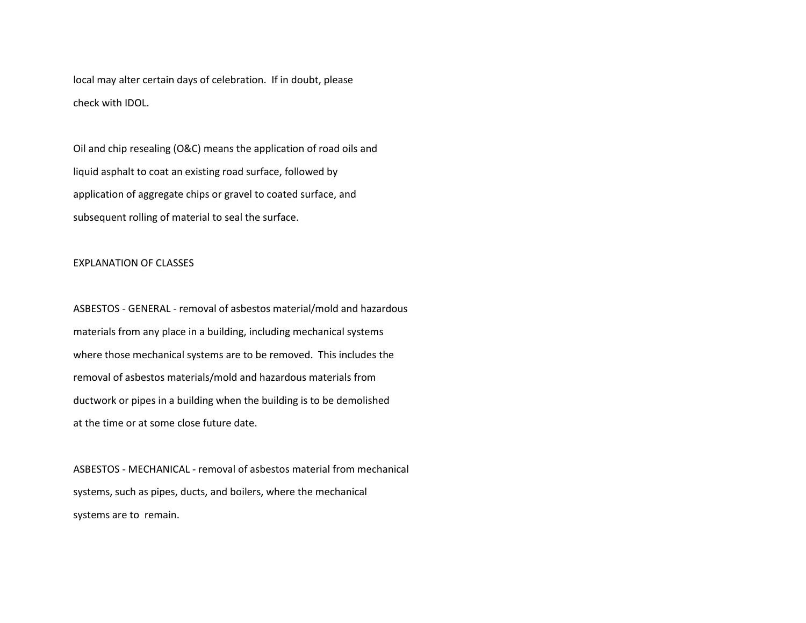local may alter certain days of celebration. If in doubt, please check with IDOL.

Oil and chip resealing (O&C) means the application of road oils and liquid asphalt to coat an existing road surface, followed by application of aggregate chips or gravel to coated surface, and subsequent rolling of material to seal the surface.

#### EXPLANATION OF CLASSES

ASBESTOS - GENERAL - removal of asbestos material/mold and hazardous materials from any place in a building, including mechanical systems where those mechanical systems are to be removed. This includes the removal of asbestos materials/mold and hazardous materials from ductwork or pipes in a building when the building is to be demolished at the time or at some close future date.

ASBESTOS - MECHANICAL - removal of asbestos material from mechanical systems, such as pipes, ducts, and boilers, where the mechanical systems are to remain.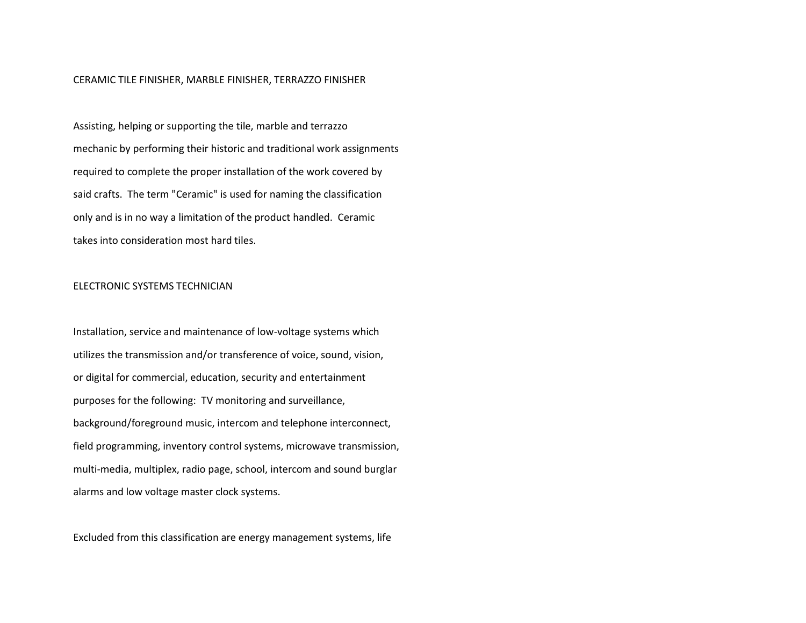#### CERAMIC TILE FINISHER, MARBLE FINISHER, TERRAZZO FINISHER

Assisting, helping or supporting the tile, marble and terrazzo mechanic by performing their historic and traditional work assignments required to complete the proper installation of the work covered by said crafts. The term "Ceramic" is used for naming the classification only and is in no way a limitation of the product handled. Ceramic takes into consideration most hard tiles.

#### ELECTRONIC SYSTEMS TECHNICIAN

Installation, service and maintenance of low-voltage systems which utilizes the transmission and/or transference of voice, sound, vision, or digital for commercial, education, security and entertainment purposes for the following: TV monitoring and surveillance, background/foreground music, intercom and telephone interconnect, field programming, inventory control systems, microwave transmission, multi-media, multiplex, radio page, school, intercom and sound burglar alarms and low voltage master clock systems.

Excluded from this classification are energy management systems, life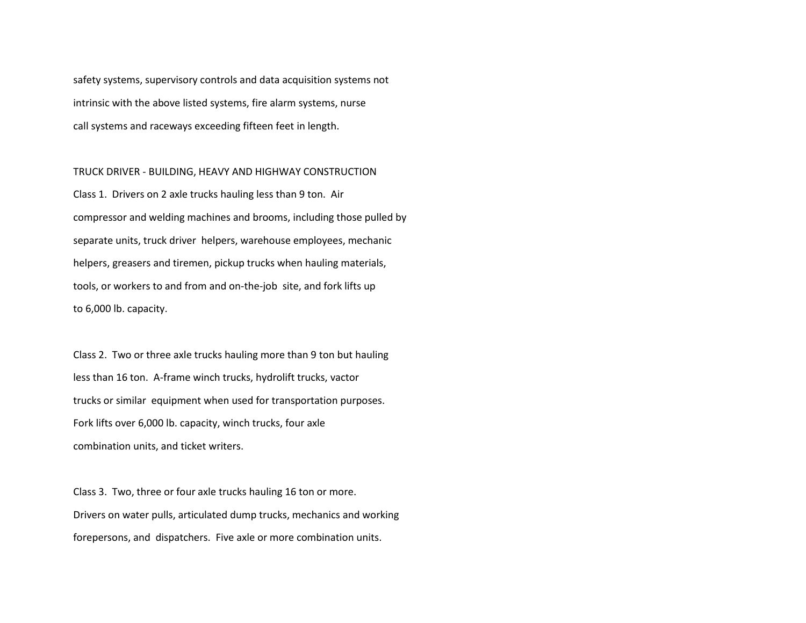safety systems, supervisory controls and data acquisition systems not intrinsic with the above listed systems, fire alarm systems, nurse call systems and raceways exceeding fifteen feet in length.

TRUCK DRIVER - BUILDING, HEAVY AND HIGHWAY CONSTRUCTION Class 1. Drivers on 2 axle trucks hauling less than 9 ton. Air compressor and welding machines and brooms, including those pulled by separate units, truck driver helpers, warehouse employees, mechanic helpers, greasers and tiremen, pickup trucks when hauling materials, tools, or workers to and from and on-the-job site, and fork lifts up to 6,000 lb. capacity.

Class 2. Two or three axle trucks hauling more than 9 ton but hauling less than 16 ton. A-frame winch trucks, hydrolift trucks, vactor trucks or similar equipment when used for transportation purposes. Fork lifts over 6,000 lb. capacity, winch trucks, four axle combination units, and ticket writers.

Class 3. Two, three or four axle trucks hauling 16 ton or more. Drivers on water pulls, articulated dump trucks, mechanics and working forepersons, and dispatchers. Five axle or more combination units.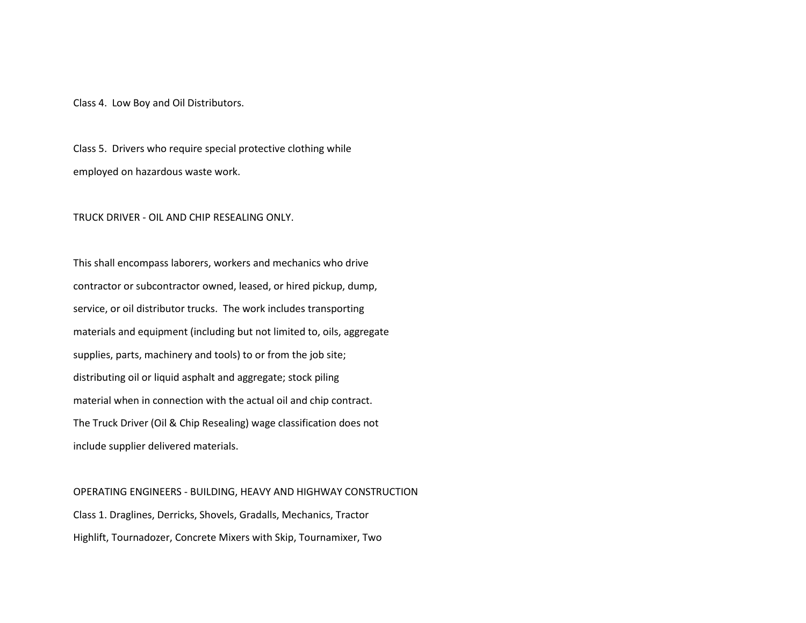Class 4. Low Boy and Oil Distributors.

Class 5. Drivers who require special protective clothing while employed on hazardous waste work.

TRUCK DRIVER - OIL AND CHIP RESEALING ONLY.

This shall encompass laborers, workers and mechanics who drive contractor or subcontractor owned, leased, or hired pickup, dump, service, or oil distributor trucks. The work includes transporting materials and equipment (including but not limited to, oils, aggregate supplies, parts, machinery and tools) to or from the job site; distributing oil or liquid asphalt and aggregate; stock piling material when in connection with the actual oil and chip contract. The Truck Driver (Oil & Chip Resealing) wage classification does not include supplier delivered materials.

OPERATING ENGINEERS - BUILDING, HEAVY AND HIGHWAY CONSTRUCTION Class 1. Draglines, Derricks, Shovels, Gradalls, Mechanics, Tractor Highlift, Tournadozer, Concrete Mixers with Skip, Tournamixer, Two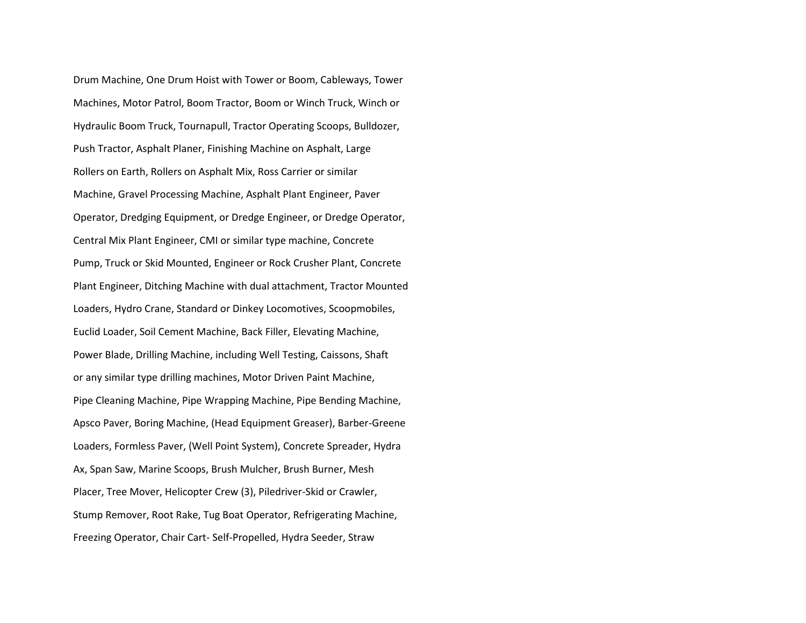Drum Machine, One Drum Hoist with Tower or Boom, Cableways, Tower Machines, Motor Patrol, Boom Tractor, Boom or Winch Truck, Winch or Hydraulic Boom Truck, Tournapull, Tractor Operating Scoops, Bulldozer, Push Tractor, Asphalt Planer, Finishing Machine on Asphalt, Large Rollers on Earth, Rollers on Asphalt Mix, Ross Carrier or similar Machine, Gravel Processing Machine, Asphalt Plant Engineer, Paver Operator, Dredging Equipment, or Dredge Engineer, or Dredge Operator, Central Mix Plant Engineer, CMI or similar type machine, Concrete Pump, Truck or Skid Mounted, Engineer or Rock Crusher Plant, Concrete Plant Engineer, Ditching Machine with dual attachment, Tractor Mounted Loaders, Hydro Crane, Standard or Dinkey Locomotives, Scoopmobiles, Euclid Loader, Soil Cement Machine, Back Filler, Elevating Machine, Power Blade, Drilling Machine, including Well Testing, Caissons, Shaft or any similar type drilling machines, Motor Driven Paint Machine, Pipe Cleaning Machine, Pipe Wrapping Machine, Pipe Bending Machine, Apsco Paver, Boring Machine, (Head Equipment Greaser), Barber-Greene Loaders, Formless Paver, (Well Point System), Concrete Spreader, Hydra Ax, Span Saw, Marine Scoops, Brush Mulcher, Brush Burner, Mesh Placer, Tree Mover, Helicopter Crew (3), Piledriver-Skid or Crawler, Stump Remover, Root Rake, Tug Boat Operator, Refrigerating Machine, Freezing Operator, Chair Cart- Self-Propelled, Hydra Seeder, Straw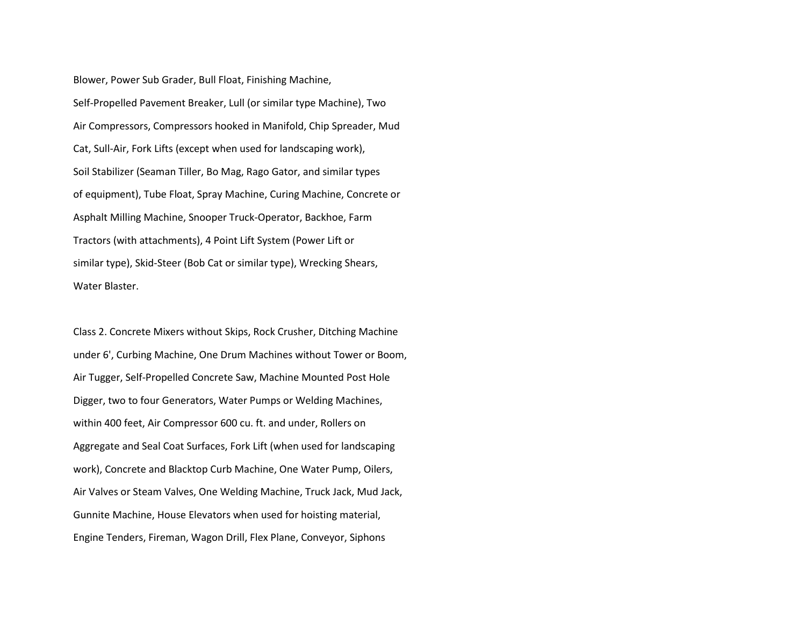Blower, Power Sub Grader, Bull Float, Finishing Machine, Self-Propelled Pavement Breaker, Lull (or similar type Machine), Two Air Compressors, Compressors hooked in Manifold, Chip Spreader, Mud Cat, Sull-Air, Fork Lifts (except when used for landscaping work), Soil Stabilizer (Seaman Tiller, Bo Mag, Rago Gator, and similar types of equipment), Tube Float, Spray Machine, Curing Machine, Concrete or Asphalt Milling Machine, Snooper Truck-Operator, Backhoe, Farm Tractors (with attachments), 4 Point Lift System (Power Lift or similar type), Skid-Steer (Bob Cat or similar type), Wrecking Shears, Water Blaster.

Class 2. Concrete Mixers without Skips, Rock Crusher, Ditching Machine under 6', Curbing Machine, One Drum Machines without Tower or Boom, Air Tugger, Self-Propelled Concrete Saw, Machine Mounted Post Hole Digger, two to four Generators, Water Pumps or Welding Machines, within 400 feet, Air Compressor 600 cu. ft. and under, Rollers on Aggregate and Seal Coat Surfaces, Fork Lift (when used for landscaping work), Concrete and Blacktop Curb Machine, One Water Pump, Oilers, Air Valves or Steam Valves, One Welding Machine, Truck Jack, Mud Jack, Gunnite Machine, House Elevators when used for hoisting material, Engine Tenders, Fireman, Wagon Drill, Flex Plane, Conveyor, Siphons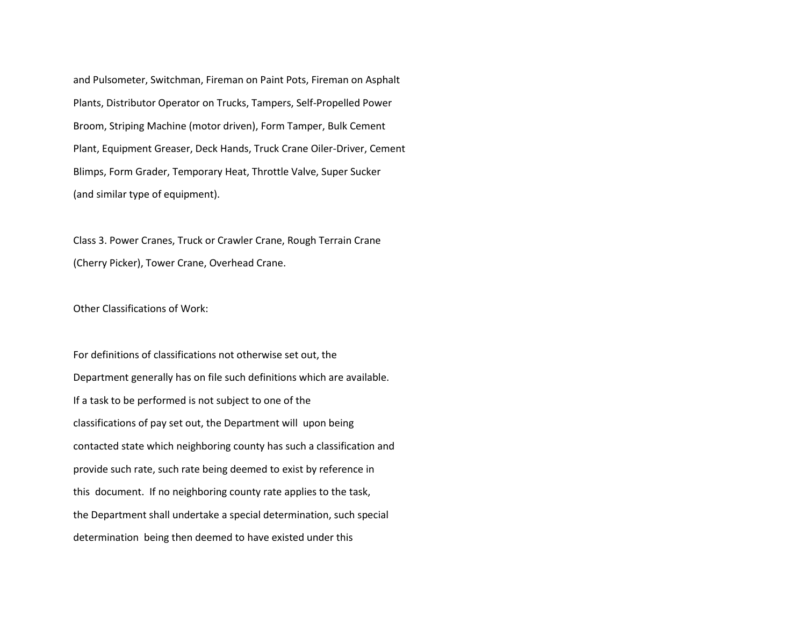and Pulsometer, Switchman, Fireman on Paint Pots, Fireman on Asphalt Plants, Distributor Operator on Trucks, Tampers, Self-Propelled Power Broom, Striping Machine (motor driven), Form Tamper, Bulk Cement Plant, Equipment Greaser, Deck Hands, Truck Crane Oiler-Driver, Cement Blimps, Form Grader, Temporary Heat, Throttle Valve, Super Sucker (and similar type of equipment).

Class 3. Power Cranes, Truck or Crawler Crane, Rough Terrain Crane (Cherry Picker), Tower Crane, Overhead Crane.

Other Classifications of Work:

For definitions of classifications not otherwise set out, the Department generally has on file such definitions which are available. If a task to be performed is not subject to one of the classifications of pay set out, the Department will upon being contacted state which neighboring county has such a classification and provide such rate, such rate being deemed to exist by reference in this document. If no neighboring county rate applies to the task, the Department shall undertake a special determination, such special determination being then deemed to have existed under this